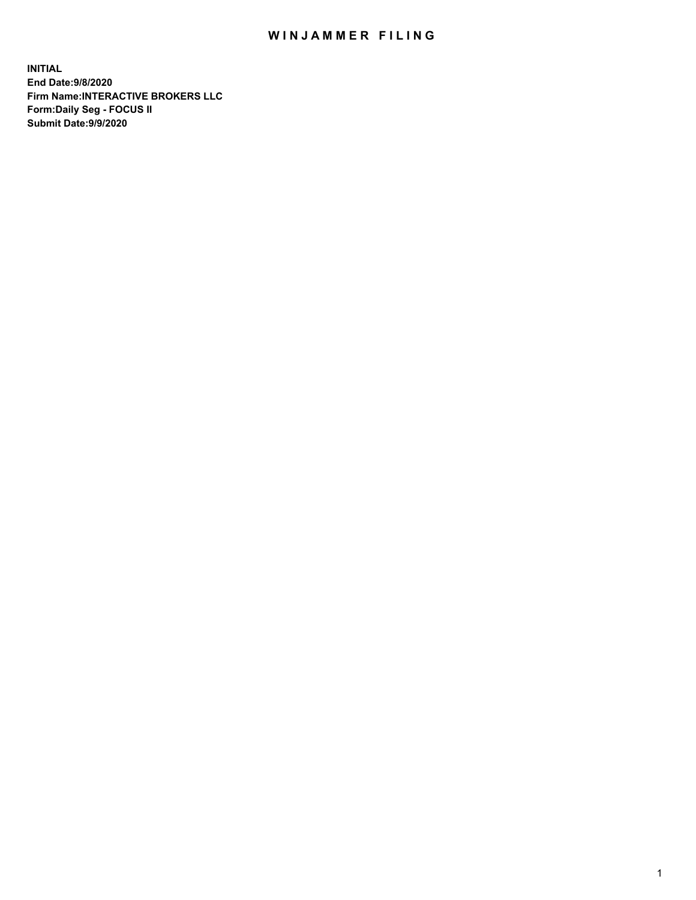## WIN JAMMER FILING

**INITIAL End Date:9/8/2020 Firm Name:INTERACTIVE BROKERS LLC Form:Daily Seg - FOCUS II Submit Date:9/9/2020**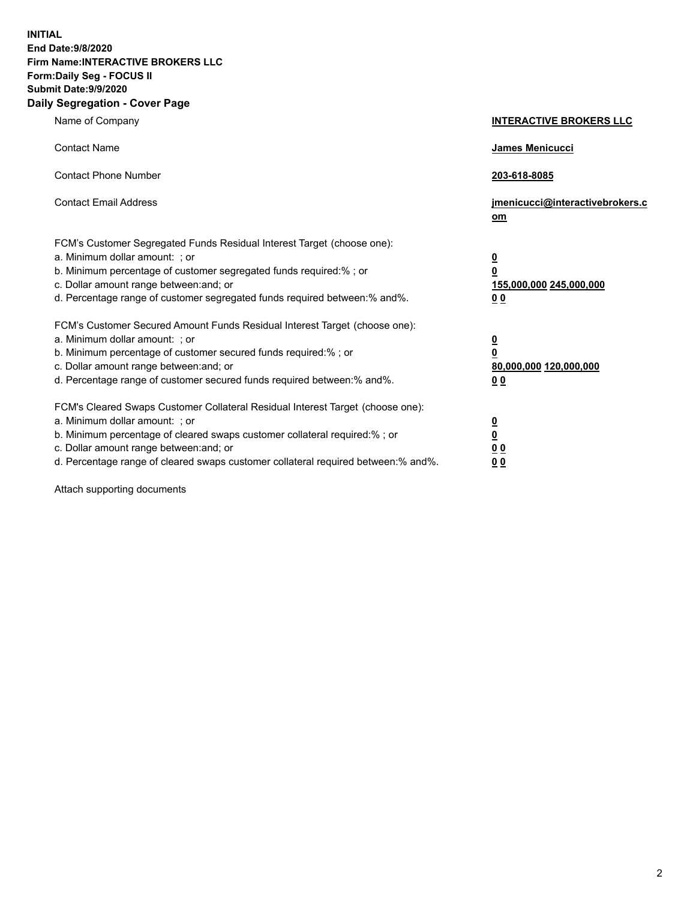**INITIAL End Date:9/8/2020 Firm Name:INTERACTIVE BROKERS LLC Form:Daily Seg - FOCUS II Submit Date:9/9/2020 Daily Segregation - Cover Page**

| Name of Company                                                                                                                                                                                                                                                                                                                | <b>INTERACTIVE BROKERS LLC</b>                                       |
|--------------------------------------------------------------------------------------------------------------------------------------------------------------------------------------------------------------------------------------------------------------------------------------------------------------------------------|----------------------------------------------------------------------|
| <b>Contact Name</b>                                                                                                                                                                                                                                                                                                            | James Menicucci                                                      |
| <b>Contact Phone Number</b>                                                                                                                                                                                                                                                                                                    | 203-618-8085                                                         |
| <b>Contact Email Address</b>                                                                                                                                                                                                                                                                                                   | jmenicucci@interactivebrokers.c<br>om                                |
| FCM's Customer Segregated Funds Residual Interest Target (choose one):<br>a. Minimum dollar amount: ; or<br>b. Minimum percentage of customer segregated funds required:% ; or<br>c. Dollar amount range between: and; or<br>d. Percentage range of customer segregated funds required between:% and%.                         | $\overline{\mathbf{0}}$<br>0<br>155,000,000 245,000,000<br><u>00</u> |
| FCM's Customer Secured Amount Funds Residual Interest Target (choose one):<br>a. Minimum dollar amount: ; or<br>b. Minimum percentage of customer secured funds required:%; or<br>c. Dollar amount range between: and; or<br>d. Percentage range of customer secured funds required between:% and%.                            | $\frac{0}{0}$<br>80,000,000 120,000,000<br>0 <sup>0</sup>            |
| FCM's Cleared Swaps Customer Collateral Residual Interest Target (choose one):<br>a. Minimum dollar amount: ; or<br>b. Minimum percentage of cleared swaps customer collateral required:% ; or<br>c. Dollar amount range between: and; or<br>d. Percentage range of cleared swaps customer collateral required between:% and%. | $\frac{0}{0}$<br>0 <sub>0</sub><br>0 <sub>0</sub>                    |

Attach supporting documents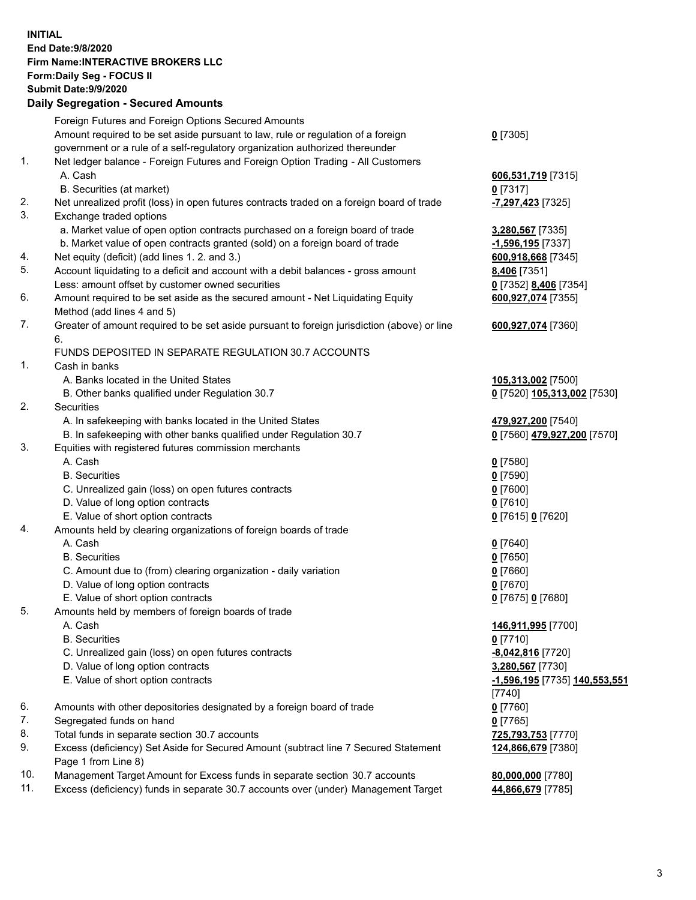## **INITIAL End Date:9/8/2020 Firm Name:INTERACTIVE BROKERS LLC Form:Daily Seg - FOCUS II Submit Date:9/9/2020 Daily Segregation - Secured Amounts**

|                | Daily Segregation - Secured Amounts                                                         |                               |
|----------------|---------------------------------------------------------------------------------------------|-------------------------------|
|                | Foreign Futures and Foreign Options Secured Amounts                                         |                               |
|                | Amount required to be set aside pursuant to law, rule or regulation of a foreign            | $0$ [7305]                    |
|                | government or a rule of a self-regulatory organization authorized thereunder                |                               |
| $\mathbf{1}$ . | Net ledger balance - Foreign Futures and Foreign Option Trading - All Customers             |                               |
|                | A. Cash                                                                                     | 606,531,719 [7315]            |
|                | B. Securities (at market)                                                                   | 0 [7317]                      |
| 2.             | Net unrealized profit (loss) in open futures contracts traded on a foreign board of trade   | -7,297,423 [7325]             |
| 3.             | Exchange traded options                                                                     |                               |
|                | a. Market value of open option contracts purchased on a foreign board of trade              | 3,280,567 [7335]              |
|                | b. Market value of open contracts granted (sold) on a foreign board of trade                | -1,596,195 <sub>[7337]</sub>  |
| 4.             | Net equity (deficit) (add lines 1. 2. and 3.)                                               | 600,918,668 [7345]            |
| 5.             | Account liquidating to a deficit and account with a debit balances - gross amount           | 8,406 [7351]                  |
|                | Less: amount offset by customer owned securities                                            | 0 [7352] 8,406 [7354]         |
| 6.             | Amount required to be set aside as the secured amount - Net Liquidating Equity              | 600,927,074 [7355]            |
|                | Method (add lines 4 and 5)                                                                  |                               |
| 7.             | Greater of amount required to be set aside pursuant to foreign jurisdiction (above) or line | 600,927,074 [7360]            |
|                | 6.                                                                                          |                               |
|                | FUNDS DEPOSITED IN SEPARATE REGULATION 30.7 ACCOUNTS                                        |                               |
| 1.             | Cash in banks                                                                               |                               |
|                | A. Banks located in the United States                                                       | 105,313,002 [7500]            |
|                | B. Other banks qualified under Regulation 30.7                                              | 0 [7520] 105,313,002 [7530]   |
| 2.             | Securities                                                                                  |                               |
|                | A. In safekeeping with banks located in the United States                                   | 479,927,200 [7540]            |
|                | B. In safekeeping with other banks qualified under Regulation 30.7                          | 0 [7560] 479,927,200 [7570]   |
| 3.             | Equities with registered futures commission merchants                                       |                               |
|                | A. Cash                                                                                     | $0$ [7580]                    |
|                | <b>B.</b> Securities                                                                        | $0$ [7590]                    |
|                | C. Unrealized gain (loss) on open futures contracts                                         | $0$ [7600]                    |
|                | D. Value of long option contracts                                                           | $0$ [7610]                    |
|                | E. Value of short option contracts                                                          | 0 [7615] 0 [7620]             |
| 4.             | Amounts held by clearing organizations of foreign boards of trade                           |                               |
|                | A. Cash                                                                                     | $Q$ [7640]                    |
|                | <b>B.</b> Securities                                                                        | $0$ [7650]                    |
|                | C. Amount due to (from) clearing organization - daily variation                             | $0$ [7660]                    |
|                | D. Value of long option contracts                                                           | $0$ [7670]                    |
|                | E. Value of short option contracts                                                          | 0 [7675] 0 [7680]             |
| 5.             | Amounts held by members of foreign boards of trade                                          |                               |
|                | A. Cash                                                                                     | 146,911,995 [7700]            |
|                | <b>B.</b> Securities                                                                        | $0$ [7710]                    |
|                | C. Unrealized gain (loss) on open futures contracts                                         | -8,042,816 [7720]             |
|                | D. Value of long option contracts                                                           | 3,280,567 [7730]              |
|                | E. Value of short option contracts                                                          | -1,596,195 [7735] 140,553,551 |
|                |                                                                                             | [7740]                        |
| 6.             | Amounts with other depositories designated by a foreign board of trade                      | $0$ [7760]                    |
| 7.             | Segregated funds on hand                                                                    | $0$ [7765]                    |
| 8.             | Total funds in separate section 30.7 accounts                                               | 725,793,753 [7770]            |
| 9.             | Excess (deficiency) Set Aside for Secured Amount (subtract line 7 Secured Statement         | 124,866,679 [7380]            |
|                | Page 1 from Line 8)                                                                         |                               |
| 10.            | Management Target Amount for Excess funds in separate section 30.7 accounts                 | 80,000,000 [7780]             |
| 11.            | Excess (deficiency) funds in separate 30.7 accounts over (under) Management Target          | 44,866,679 [7785]             |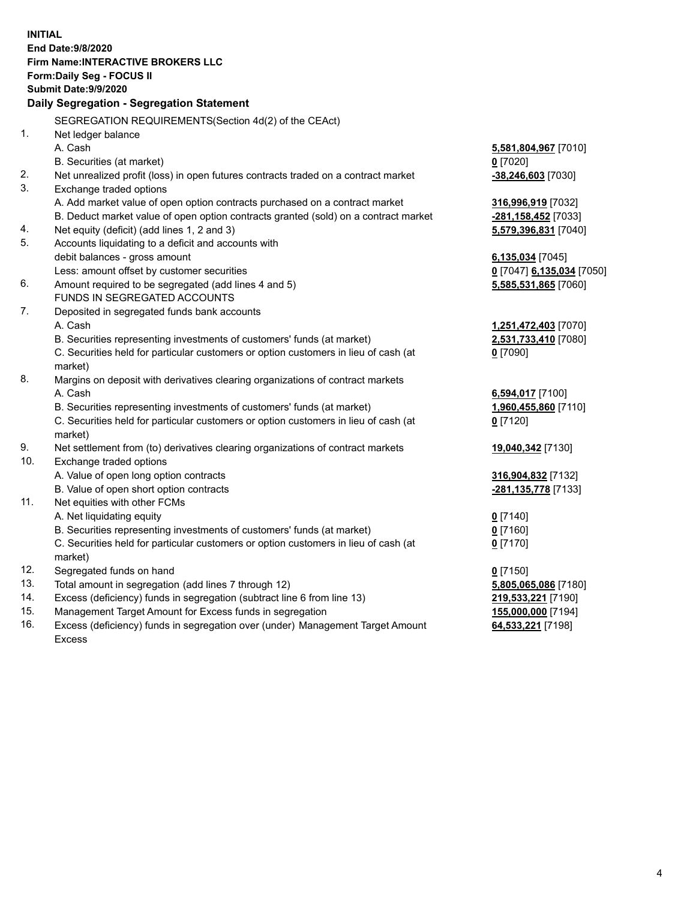**INITIAL End Date:9/8/2020 Firm Name:INTERACTIVE BROKERS LLC Form:Daily Seg - FOCUS II Submit Date:9/9/2020 Daily Segregation - Segregation Statement** SEGREGATION REQUIREMENTS(Section 4d(2) of the CEAct) 1. Net ledger balance A. Cash **5,581,804,967** [7010] B. Securities (at market) **0** [7020] 2. Net unrealized profit (loss) in open futures contracts traded on a contract market **-38,246,603** [7030] 3. Exchange traded options A. Add market value of open option contracts purchased on a contract market **316,996,919** [7032] B. Deduct market value of open option contracts granted (sold) on a contract market **-281,158,452** [7033] 4. Net equity (deficit) (add lines 1, 2 and 3) **5,579,396,831** [7040] 5. Accounts liquidating to a deficit and accounts with debit balances - gross amount **6,135,034** [7045] Less: amount offset by customer securities **0** [7047] **6,135,034** [7050] 6. Amount required to be segregated (add lines 4 and 5) **5,585,531,865** [7060] FUNDS IN SEGREGATED ACCOUNTS 7. Deposited in segregated funds bank accounts A. Cash **1,251,472,403** [7070] B. Securities representing investments of customers' funds (at market) **2,531,733,410** [7080] C. Securities held for particular customers or option customers in lieu of cash (at market) **0** [7090] 8. Margins on deposit with derivatives clearing organizations of contract markets A. Cash **6,594,017** [7100] B. Securities representing investments of customers' funds (at market) **1,960,455,860** [7110] C. Securities held for particular customers or option customers in lieu of cash (at market) **0** [7120] 9. Net settlement from (to) derivatives clearing organizations of contract markets **19,040,342** [7130] 10. Exchange traded options A. Value of open long option contracts **316,904,832** [7132] B. Value of open short option contracts **-281,135,778** [7133] 11. Net equities with other FCMs A. Net liquidating equity **0** [7140] B. Securities representing investments of customers' funds (at market) **0** [7160] C. Securities held for particular customers or option customers in lieu of cash (at market) **0** [7170] 12. Segregated funds on hand **0** [7150] 13. Total amount in segregation (add lines 7 through 12) **5,805,065,086** [7180] 14. Excess (deficiency) funds in segregation (subtract line 6 from line 13) **219,533,221** [7190] 15. Management Target Amount for Excess funds in segregation **155,000,000** [7194] 16. Excess (deficiency) funds in segregation over (under) Management Target Amount **64,533,221** [7198]

Excess